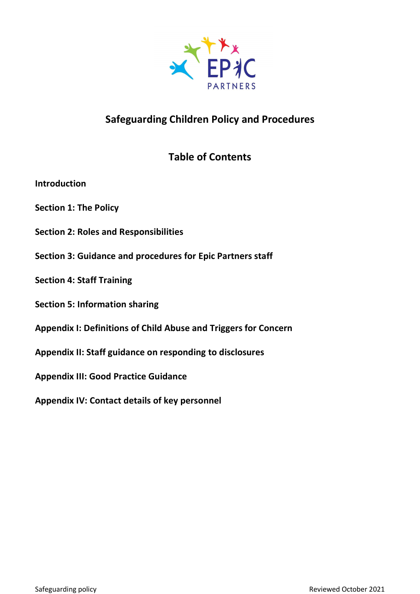

# **Safeguarding Children Policy and Procedures**

# **Table of Contents**

**Introduction**

- **Section 1: The Policy**
- **Section 2: Roles and Responsibilities**
- **Section 3: Guidance and procedures for Epic Partners staff**
- **Section 4: Staff Training**
- **Section 5: Information sharing**
- **Appendix I: Definitions of Child Abuse and Triggers for Concern**
- **Appendix II: Staff guidance on responding to disclosures**
- **Appendix III: Good Practice Guidance**
- **Appendix IV: Contact details of key personnel**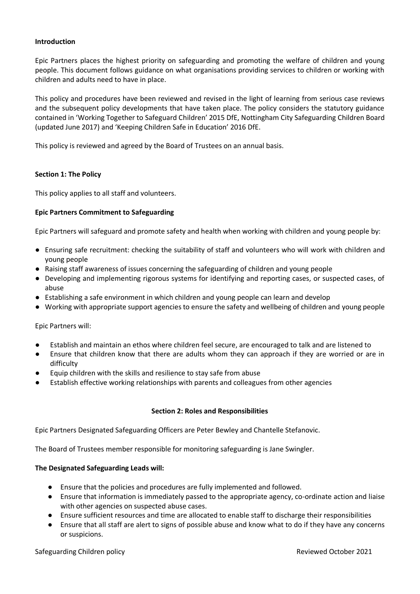## **Introduction**

Epic Partners places the highest priority on safeguarding and promoting the welfare of children and young people. This document follows guidance on what organisations providing services to children or working with children and adults need to have in place.

This policy and procedures have been reviewed and revised in the light of learning from serious case reviews and the subsequent policy developments that have taken place. The policy considers the statutory guidance contained in 'Working Together to Safeguard Children' 2015 DfE, Nottingham City Safeguarding Children Board (updated June 2017) and 'Keeping Children Safe in Education' 2016 DfE.

This policy is reviewed and agreed by the Board of Trustees on an annual basis.

## **Section 1: The Policy**

This policy applies to all staff and volunteers.

## **Epic Partners Commitment to Safeguarding**

Epic Partners will safeguard and promote safety and health when working with children and young people by:

- Ensuring safe recruitment: checking the suitability of staff and volunteers who will work with children and young people
- Raising staff awareness of issues concerning the safeguarding of children and young people
- Developing and implementing rigorous systems for identifying and reporting cases, or suspected cases, of abuse
- Establishing a safe environment in which children and young people can learn and develop
- Working with appropriate support agencies to ensure the safety and wellbeing of children and young people

Epic Partners will:

- Establish and maintain an ethos where children feel secure, are encouraged to talk and are listened to
- Ensure that children know that there are adults whom they can approach if they are worried or are in difficulty
- Equip children with the skills and resilience to stay safe from abuse
- Establish effective working relationships with parents and colleagues from other agencies

### **Section 2: Roles and Responsibilities**

Epic Partners Designated Safeguarding Officers are Peter Bewley and Chantelle Stefanovic.

The Board of Trustees member responsible for monitoring safeguarding is Jane Swingler.

### **The Designated Safeguarding Leads will:**

- Ensure that the policies and procedures are fully implemented and followed.
- Ensure that information is immediately passed to the appropriate agency, co-ordinate action and liaise with other agencies on suspected abuse cases.
- Ensure sufficient resources and time are allocated to enable staff to discharge their responsibilities
- Ensure that all staff are alert to signs of possible abuse and know what to do if they have any concerns or suspicions.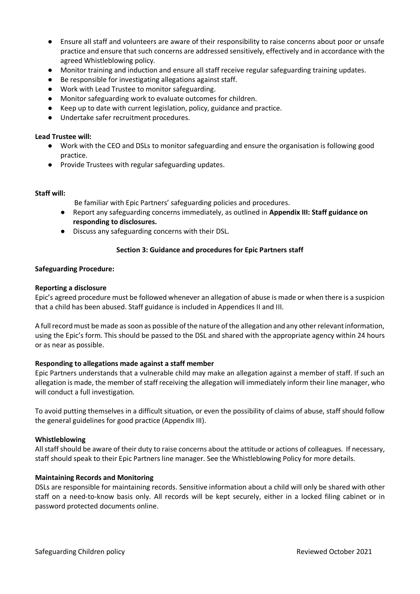- Ensure all staff and volunteers are aware of their responsibility to raise concerns about poor or unsafe practice and ensure that such concerns are addressed sensitively, effectively and in accordance with the agreed Whistleblowing policy.
- Monitor training and induction and ensure all staff receive regular safeguarding training updates.
- Be responsible for investigating allegations against staff.
- Work with Lead Trustee to monitor safeguarding.
- Monitor safeguarding work to evaluate outcomes for children.
- Keep up to date with current legislation, policy, guidance and practice.
- Undertake safer recruitment procedures.

#### **Lead Trustee will:**

- Work with the CEO and DSLs to monitor safeguarding and ensure the organisation is following good practice.
- Provide Trustees with regular safeguarding updates.

### **Staff will:**

Be familiar with Epic Partners' safeguarding policies and procedures.

- Report any safeguarding concerns immediately, as outlined in **Appendix III: Staff guidance on responding to disclosures.**
- Discuss any safeguarding concerns with their DSL.

### **Section 3: Guidance and procedures for Epic Partners staff**

## **Safeguarding Procedure:**

#### **Reporting a disclosure**

Epic's agreed procedure must be followed whenever an allegation of abuse is made or when there is a suspicion that a child has been abused. Staff guidance is included in Appendices II and III.

A full record must be made as soon as possible of the nature of the allegation and any other relevant information, using the Epic's form. This should be passed to the DSL and shared with the appropriate agency within 24 hours or as near as possible.

### **Responding to allegations made against a staff member**

Epic Partners understands that a vulnerable child may make an allegation against a member of staff. If such an allegation is made, the member of staff receiving the allegation will immediately inform their line manager, who will conduct a full investigation.

To avoid putting themselves in a difficult situation, or even the possibility of claims of abuse, staff should follow the general guidelines for good practice (Appendix III).

### **Whistleblowing**

All staff should be aware of their duty to raise concerns about the attitude or actions of colleagues. If necessary, staff should speak to their Epic Partners line manager. See the Whistleblowing Policy for more details.

## **Maintaining Records and Monitoring**

DSLs are responsible for maintaining records. Sensitive information about a child will only be shared with other staff on a need-to-know basis only. All records will be kept securely, either in a locked filing cabinet or in password protected documents online.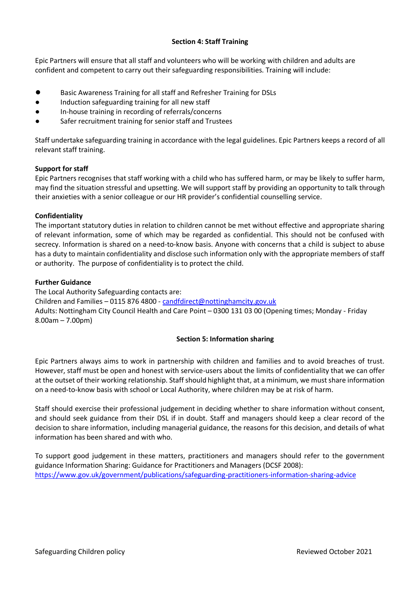# **Section 4: Staff Training**

Epic Partners will ensure that all staff and volunteers who will be working with children and adults are confident and competent to carry out their safeguarding responsibilities. Training will include:

- Basic Awareness Training for all staff and Refresher Training for DSLs
- Induction safeguarding training for all new staff
- In-house training in recording of referrals/concerns
- Safer recruitment training for senior staff and Trustees

Staff undertake safeguarding training in accordance with the legal guidelines. Epic Partners keeps a record of all relevant staff training.

## **Support for staff**

Epic Partners recognises that staff working with a child who has suffered harm, or may be likely to suffer harm, may find the situation stressful and upsetting. We will support staff by providing an opportunity to talk through their anxieties with a senior colleague or our HR provider's confidential counselling service.

## **Confidentiality**

The important statutory duties in relation to children cannot be met without effective and appropriate sharing of relevant information, some of which may be regarded as confidential. This should not be confused with secrecy. Information is shared on a need-to-know basis. Anyone with concerns that a child is subject to abuse has a duty to maintain confidentiality and disclose such information only with the appropriate members of staff or authority. The purpose of confidentiality is to protect the child.

## **Further Guidance**

The Local Authority Safeguarding contacts are: Children and Families – 0115 876 4800 - candfdirect@nottinghamcity.gov.uk Adults: Nottingham City Council Health and Care Point – 0300 131 03 00 (Opening times; Monday - Friday 8.00am – 7.00pm)

## **Section 5: Information sharing**

Epic Partners always aims to work in partnership with children and families and to avoid breaches of trust. However, staff must be open and honest with service-users about the limits of confidentiality that we can offer at the outset of their working relationship. Staff should highlight that, at a minimum, we must share information on a need-to-know basis with school or Local Authority, where children may be at risk of harm.

Staff should exercise their professional judgement in deciding whether to share information without consent, and should seek guidance from their DSL if in doubt. Staff and managers should keep a clear record of the decision to share information, including managerial guidance, the reasons for this decision, and details of what information has been shared and with who.

To support good judgement in these matters, practitioners and managers should refer to the government guidance Information Sharing: Guidance for Practitioners and Managers (DCSF 2008): https://www.gov.uk/government/publications/safeguarding-practitioners-information-sharing-advice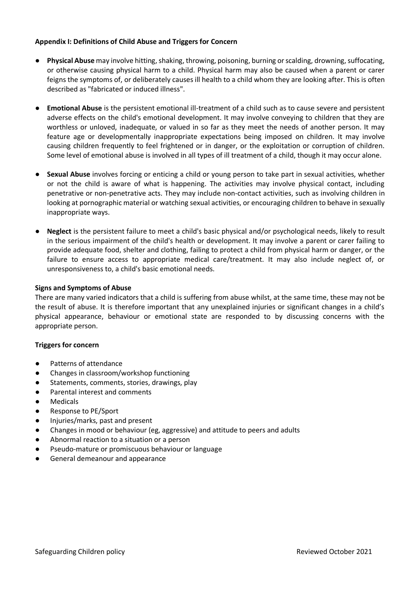# **Appendix I: Definitions of Child Abuse and Triggers for Concern**

- **Physical Abuse** may involve hitting, shaking, throwing, poisoning, burning or scalding, drowning, suffocating, or otherwise causing physical harm to a child. Physical harm may also be caused when a parent or carer feigns the symptoms of, or deliberately causes ill health to a child whom they are looking after. This is often described as "fabricated or induced illness".
- **Emotional Abuse** is the persistent emotional ill-treatment of a child such as to cause severe and persistent adverse effects on the child's emotional development. It may involve conveying to children that they are worthless or unloved, inadequate, or valued in so far as they meet the needs of another person. It may feature age or developmentally inappropriate expectations being imposed on children. It may involve causing children frequently to feel frightened or in danger, or the exploitation or corruption of children. Some level of emotional abuse is involved in all types of ill treatment of a child, though it may occur alone.
- **Sexual Abuse** involves forcing or enticing a child or young person to take part in sexual activities, whether or not the child is aware of what is happening. The activities may involve physical contact, including penetrative or non-penetrative acts. They may include non-contact activities, such as involving children in looking at pornographic material or watching sexual activities, or encouraging children to behave in sexually inappropriate ways.
- **Neglect** is the persistent failure to meet a child's basic physical and/or psychological needs, likely to result in the serious impairment of the child's health or development. It may involve a parent or carer failing to provide adequate food, shelter and clothing, failing to protect a child from physical harm or danger, or the failure to ensure access to appropriate medical care/treatment. It may also include neglect of, or unresponsiveness to, a child's basic emotional needs.

# **Signs and Symptoms of Abuse**

There are many varied indicators that a child is suffering from abuse whilst, at the same time, these may not be the result of abuse. It is therefore important that any unexplained injuries or significant changes in a child's physical appearance, behaviour or emotional state are responded to by discussing concerns with the appropriate person.

# **Triggers for concern**

- Patterns of attendance
- Changes in classroom/workshop functioning
- Statements, comments, stories, drawings, play
- Parental interest and comments
- **Medicals**
- Response to PE/Sport
- Injuries/marks, past and present
- Changes in mood or behaviour (eg, aggressive) and attitude to peers and adults
- Abnormal reaction to a situation or a person
- Pseudo-mature or promiscuous behaviour or language
- General demeanour and appearance